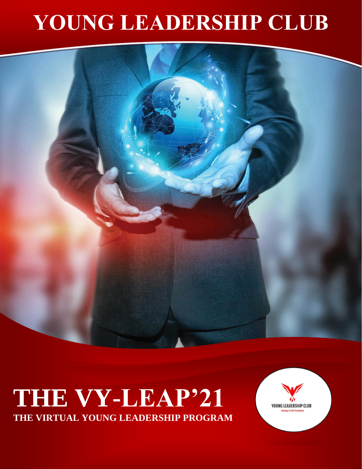## **YOUNG LEADERSHIP CLUB**



## **THE VY-LEAP'21 THE VIRTUAL YOUNG LEADERSHIP PROGRAM**

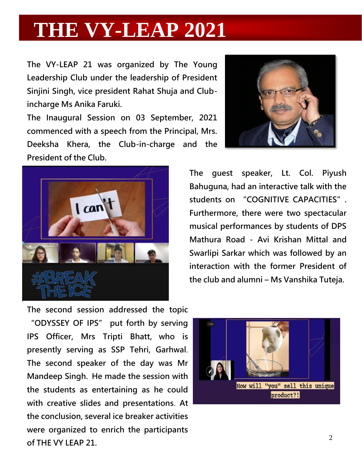## **THE VY-LEAP 2021**

**The VY-LEAP 21 was organized by The Young Leadership Club under the leadership of President Sinjini Singh, vice president Rahat Shuja and Clubincharge Ms Anika Faruki.**

**The Inaugural Session on 03 September, 2021 commenced with a speech from the Principal, Mrs. Deeksha Khera, the Club-in-charge and the President of the Club.**





**The guest speaker, Lt. Col. Piyush Bahuguna, had an interactive talk with the students on "COGNITIVE CAPACITIES". Furthermore, there were two spectacular musical performances by students of DPS Mathura Road - Avi Krishan Mittal and Swarlipi Sarkar which was followed by an interaction with the former President of the club and alumni – Ms Vanshika Tuteja.**

**The second session addressed the topic "ODYSSEY OF IPS" put forth by serving IPS Officer, Mrs Tripti Bhatt, who is presently serving as SSP Tehri, Garhwal**. **The second speaker of the day was Mr Mandeep Singh. He made the session with the students as entertaining as he could with creative slides and presentations**. **At the conclusion, several ice breaker activities were organized to enrich the participants of THE VY LEAP 21.**